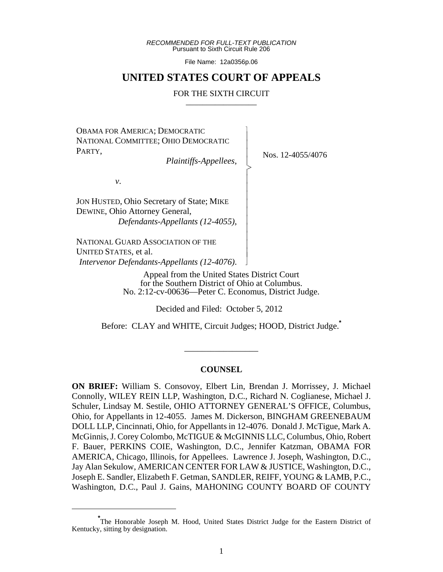*RECOMMENDED FOR FULL-TEXT PUBLICATION* Pursuant to Sixth Circuit Rule 206

File Name: 12a0356p.06

# **UNITED STATES COURT OF APPEALS**

### FOR THE SIXTH CIRCUIT

 $\overline{\phantom{a}}$ - - - > , - - - - - - - - - - N

OBAMA FOR AMERICA; DEMOCRATIC NATIONAL COMMITTEE; OHIO DEMOCRATIC PARTY,

*Plaintiffs-Appellees*,

Nos. 12-4055/4076

*v*.

JON HUSTED, Ohio Secretary of State; MIKE DEWINE, Ohio Attorney General,  *Defendants-Appellants (12-4055)*,

NATIONAL GUARD ASSOCIATION OF THE UNITED STATES, et al. *Intervenor Defendants-Appellants (12-4076)*.

> Appeal from the United States District Court for the Southern District of Ohio at Columbus. No. 2:12-cv-00636—Peter C. Economus, District Judge.

> > Decided and Filed: October 5, 2012

Before: CLAY and WHITE, Circuit Judges; HOOD, District Judge.**\***

\_\_\_\_\_\_\_\_\_\_\_\_\_\_\_\_\_

# **COUNSEL**

**ON BRIEF:** William S. Consovoy, Elbert Lin, Brendan J. Morrissey, J. Michael Connolly, WILEY REIN LLP, Washington, D.C., Richard N. Coglianese, Michael J. Schuler, Lindsay M. Sestile, OHIO ATTORNEY GENERAL'S OFFICE, Columbus, Ohio, for Appellants in 12-4055. James M. Dickerson, BINGHAM GREENEBAUM DOLL LLP, Cincinnati, Ohio, for Appellants in 12-4076. Donald J. McTigue, Mark A. McGinnis, J. Corey Colombo, McTIGUE & McGINNIS LLC, Columbus, Ohio, Robert F. Bauer, PERKINS COIE, Washington, D.C., Jennifer Katzman, OBAMA FOR AMERICA, Chicago, Illinois, for Appellees. Lawrence J. Joseph, Washington, D.C., Jay Alan Sekulow, AMERICAN CENTER FOR LAW & JUSTICE, Washington, D.C., Joseph E. Sandler, Elizabeth F. Getman, SANDLER, REIFF, YOUNG & LAMB, P.C., Washington, D.C., Paul J. Gains, MAHONING COUNTY BOARD OF COUNTY

**<sup>\*</sup>** The Honorable Joseph M. Hood, United States District Judge for the Eastern District of Kentucky, sitting by designation.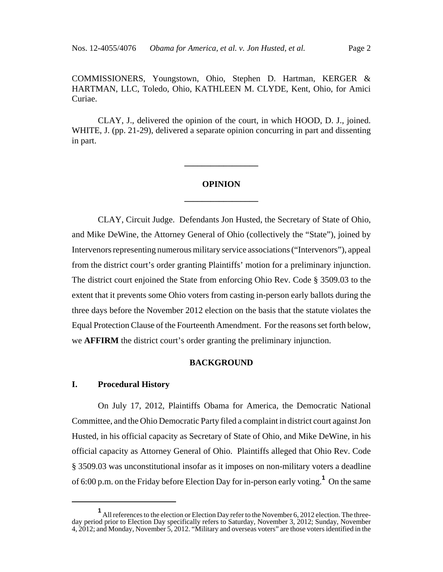COMMISSIONERS, Youngstown, Ohio, Stephen D. Hartman, KERGER & HARTMAN, LLC, Toledo, Ohio, KATHLEEN M. CLYDE, Kent, Ohio, for Amici Curiae.

CLAY, J., delivered the opinion of the court, in which HOOD, D. J., joined. WHITE, J. (pp. 21-29), delivered a separate opinion concurring in part and dissenting in part.

# **OPINION \_\_\_\_\_\_\_\_\_\_\_\_\_\_\_\_\_**

**\_\_\_\_\_\_\_\_\_\_\_\_\_\_\_\_\_**

CLAY, Circuit Judge. Defendants Jon Husted, the Secretary of State of Ohio, and Mike DeWine, the Attorney General of Ohio (collectively the "State"), joined by Intervenors representing numerous military service associations ("Intervenors"), appeal from the district court's order granting Plaintiffs' motion for a preliminary injunction. The district court enjoined the State from enforcing Ohio Rev. Code § 3509.03 to the extent that it prevents some Ohio voters from casting in-person early ballots during the three days before the November 2012 election on the basis that the statute violates the Equal Protection Clause of the Fourteenth Amendment. For the reasons set forth below, we **AFFIRM** the district court's order granting the preliminary injunction.

# **BACKGROUND**

## **I. Procedural History**

On July 17, 2012, Plaintiffs Obama for America, the Democratic National Committee, and the Ohio Democratic Party filed a complaint in district court against Jon Husted, in his official capacity as Secretary of State of Ohio, and Mike DeWine, in his official capacity as Attorney General of Ohio. Plaintiffs alleged that Ohio Rev. Code § 3509.03 was unconstitutional insofar as it imposes on non-military voters a deadline of 6:00 p.m. on the Friday before Election Day for in-person early voting.**<sup>1</sup>** On the same

**<sup>1</sup>** All references to the election or Election Day refer to the November 6, 2012 election. The threeday period prior to Election Day specifically refers to Saturday, November 3, 2012; Sunday, November 4, 2012; and Monday, November 5, 2012. "Military and overseas voters" are those voters identified in the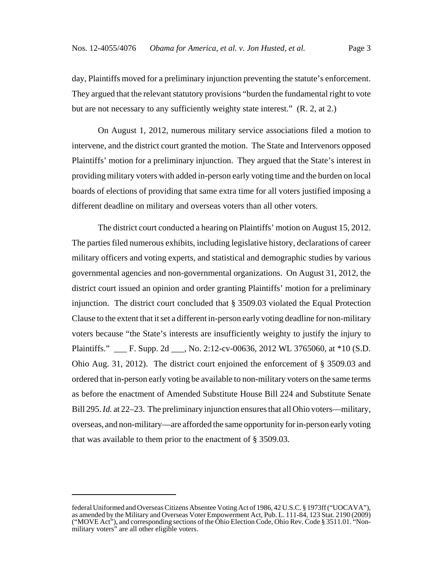day, Plaintiffs moved for a preliminary injunction preventing the statute's enforcement. They argued that the relevant statutory provisions "burden the fundamental right to vote but are not necessary to any sufficiently weighty state interest." (R. 2, at 2.)

On August 1, 2012, numerous military service associations filed a motion to intervene, and the district court granted the motion. The State and Intervenors opposed Plaintiffs' motion for a preliminary injunction. They argued that the State's interest in providing military voters with added in-person early voting time and the burden on local boards of elections of providing that same extra time for all voters justified imposing a different deadline on military and overseas voters than all other voters.

The district court conducted a hearing on Plaintiffs' motion on August 15, 2012. The parties filed numerous exhibits, including legislative history, declarations of career military officers and voting experts, and statistical and demographic studies by various governmental agencies and non-governmental organizations. On August 31, 2012, the district court issued an opinion and order granting Plaintiffs' motion for a preliminary injunction. The district court concluded that § 3509.03 violated the Equal Protection Clause to the extent that it set a different in-person early voting deadline for non-military voters because "the State's interests are insufficiently weighty to justify the injury to Plaintiffs." \_\_\_ F. Supp. 2d \_\_\_, No. 2:12-cv-00636, 2012 WL 3765060, at \*10 (S.D. Ohio Aug. 31, 2012). The district court enjoined the enforcement of § 3509.03 and ordered that in-person early voting be available to non-military voters on the same terms as before the enactment of Amended Substitute House Bill 224 and Substitute Senate Bill 295. *Id.* at 22–23. The preliminary injunction ensures that all Ohio voters—military, overseas, and non-military—are afforded the same opportunity for in-person early voting that was available to them prior to the enactment of § 3509.03.

federal Uniformed and Overseas Citizens Absentee Voting Act of 1986, 42 U.S.C. § 1973ff ("UOCAVA"), as amended by the Military and Overseas Voter Empowerment Act, Pub. L. 111-84, 123 Stat. 2190 (2009) ("MOVE Act"), and corresponding sections of the Ohio Election Code, Ohio Rev. Code § 3511.01. "Nonmilitary voters" are all other eligible voters.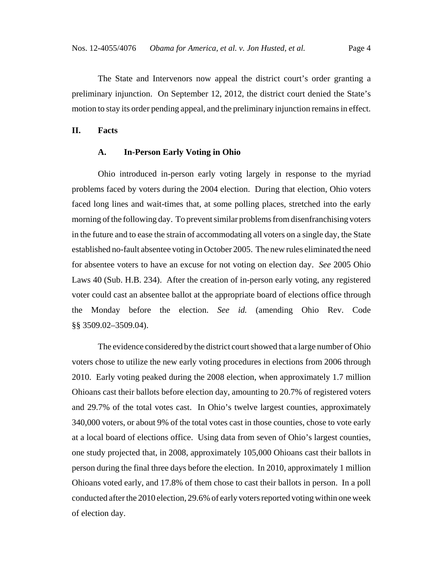The State and Intervenors now appeal the district court's order granting a preliminary injunction. On September 12, 2012, the district court denied the State's motion to stay its order pending appeal, and the preliminary injunction remains in effect.

**II. Facts**

#### **A. In-Person Early Voting in Ohio**

Ohio introduced in-person early voting largely in response to the myriad problems faced by voters during the 2004 election. During that election, Ohio voters faced long lines and wait-times that, at some polling places, stretched into the early morning of the following day. To prevent similar problems from disenfranchising voters in the future and to ease the strain of accommodating all voters on a single day, the State established no-fault absentee voting in October 2005. The new rules eliminated the need for absentee voters to have an excuse for not voting on election day. *See* 2005 Ohio Laws 40 (Sub. H.B. 234). After the creation of in-person early voting, any registered voter could cast an absentee ballot at the appropriate board of elections office through the Monday before the election. *See id.* (amending Ohio Rev. Code §§ 3509.02–3509.04).

The evidence considered by the district court showed that a large number of Ohio voters chose to utilize the new early voting procedures in elections from 2006 through 2010. Early voting peaked during the 2008 election, when approximately 1.7 million Ohioans cast their ballots before election day, amounting to 20.7% of registered voters and 29.7% of the total votes cast. In Ohio's twelve largest counties, approximately 340,000 voters, or about 9% of the total votes cast in those counties, chose to vote early at a local board of elections office. Using data from seven of Ohio's largest counties, one study projected that, in 2008, approximately 105,000 Ohioans cast their ballots in person during the final three days before the election. In 2010, approximately 1 million Ohioans voted early, and 17.8% of them chose to cast their ballots in person. In a poll conducted after the 2010 election, 29.6% of early voters reported voting within one week of election day.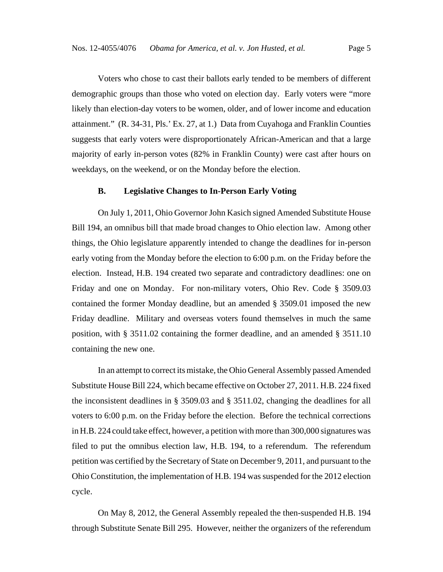Voters who chose to cast their ballots early tended to be members of different demographic groups than those who voted on election day. Early voters were "more likely than election-day voters to be women, older, and of lower income and education attainment." (R. 34-31, Pls.' Ex. 27, at 1.) Data from Cuyahoga and Franklin Counties suggests that early voters were disproportionately African-American and that a large majority of early in-person votes (82% in Franklin County) were cast after hours on weekdays, on the weekend, or on the Monday before the election.

# **B. Legislative Changes to In-Person Early Voting**

On July 1, 2011, Ohio Governor John Kasich signed Amended Substitute House Bill 194, an omnibus bill that made broad changes to Ohio election law. Among other things, the Ohio legislature apparently intended to change the deadlines for in-person early voting from the Monday before the election to 6:00 p.m. on the Friday before the election. Instead, H.B. 194 created two separate and contradictory deadlines: one on Friday and one on Monday. For non-military voters, Ohio Rev. Code § 3509.03 contained the former Monday deadline, but an amended § 3509.01 imposed the new Friday deadline. Military and overseas voters found themselves in much the same position, with § 3511.02 containing the former deadline, and an amended § 3511.10 containing the new one.

In an attempt to correct its mistake, the Ohio General Assembly passed Amended Substitute House Bill 224, which became effective on October 27, 2011. H.B. 224 fixed the inconsistent deadlines in § 3509.03 and § 3511.02, changing the deadlines for all voters to 6:00 p.m. on the Friday before the election. Before the technical corrections in H.B. 224 could take effect, however, a petition with more than 300,000 signatures was filed to put the omnibus election law, H.B. 194, to a referendum. The referendum petition was certified by the Secretary of State on December 9, 2011, and pursuant to the Ohio Constitution, the implementation of H.B. 194 was suspended for the 2012 election cycle.

On May 8, 2012, the General Assembly repealed the then-suspended H.B. 194 through Substitute Senate Bill 295. However, neither the organizers of the referendum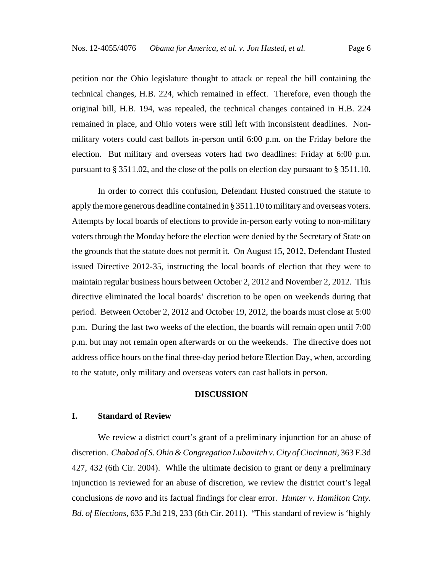petition nor the Ohio legislature thought to attack or repeal the bill containing the technical changes, H.B. 224, which remained in effect. Therefore, even though the original bill, H.B. 194, was repealed, the technical changes contained in H.B. 224 remained in place, and Ohio voters were still left with inconsistent deadlines. Nonmilitary voters could cast ballots in-person until 6:00 p.m. on the Friday before the election. But military and overseas voters had two deadlines: Friday at 6:00 p.m. pursuant to § 3511.02, and the close of the polls on election day pursuant to § 3511.10.

In order to correct this confusion, Defendant Husted construed the statute to apply the more generous deadline contained in § 3511.10 to military and overseas voters. Attempts by local boards of elections to provide in-person early voting to non-military voters through the Monday before the election were denied by the Secretary of State on the grounds that the statute does not permit it. On August 15, 2012, Defendant Husted issued Directive 2012-35, instructing the local boards of election that they were to maintain regular business hours between October 2, 2012 and November 2, 2012. This directive eliminated the local boards' discretion to be open on weekends during that period. Between October 2, 2012 and October 19, 2012, the boards must close at 5:00 p.m. During the last two weeks of the election, the boards will remain open until 7:00 p.m. but may not remain open afterwards or on the weekends. The directive does not address office hours on the final three-day period before Election Day, when, according to the statute, only military and overseas voters can cast ballots in person.

### **DISCUSSION**

### **I. Standard of Review**

We review a district court's grant of a preliminary injunction for an abuse of discretion. *Chabad of S. Ohio & Congregation Lubavitch v. City of Cincinnati*, 363 F.3d 427, 432 (6th Cir. 2004). While the ultimate decision to grant or deny a preliminary injunction is reviewed for an abuse of discretion, we review the district court's legal conclusions *de novo* and its factual findings for clear error. *Hunter v. Hamilton Cnty. Bd. of Elections*, 635 F.3d 219, 233 (6th Cir. 2011). "This standard of review is 'highly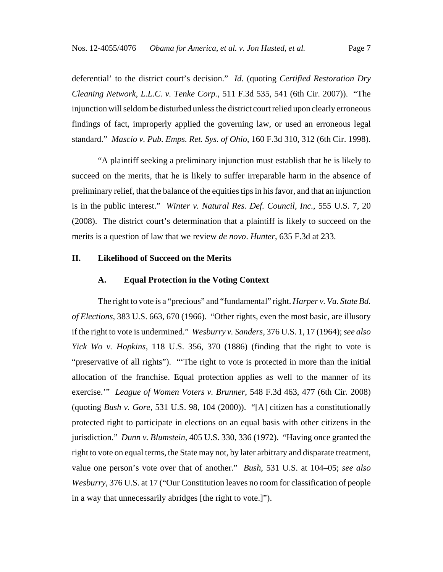deferential' to the district court's decision." *Id.* (quoting *Certified Restoration Dry Cleaning Network, L.L.C. v. Tenke Corp.*, 511 F.3d 535, 541 (6th Cir. 2007)). "The injunction will seldom be disturbed unless the district court relied upon clearly erroneous findings of fact, improperly applied the governing law, or used an erroneous legal standard." *Mascio v. Pub. Emps. Ret. Sys. of Ohio*, 160 F.3d 310, 312 (6th Cir. 1998).

"A plaintiff seeking a preliminary injunction must establish that he is likely to succeed on the merits, that he is likely to suffer irreparable harm in the absence of preliminary relief, that the balance of the equities tips in his favor, and that an injunction is in the public interest." *Winter v. Natural Res. Def. Council, Inc.*, 555 U.S. 7, 20 (2008). The district court's determination that a plaintiff is likely to succeed on the merits is a question of law that we review *de novo*. *Hunter*, 635 F.3d at 233.

# **II. Likelihood of Succeed on the Merits**

### **A. Equal Protection in the Voting Context**

The right to vote is a "precious" and "fundamental" right. *Harper v. Va. State Bd. of Elections*, 383 U.S. 663, 670 (1966). "Other rights, even the most basic, are illusory if the right to vote is undermined." *Wesburry v. Sanders*, 376 U.S. 1, 17 (1964); *see also Yick Wo v. Hopkins*, 118 U.S. 356, 370 (1886) (finding that the right to vote is "preservative of all rights"). "'The right to vote is protected in more than the initial allocation of the franchise. Equal protection applies as well to the manner of its exercise.'" *League of Women Voters v. Brunner*, 548 F.3d 463, 477 (6th Cir. 2008) (quoting *Bush v. Gore*, 531 U.S. 98, 104 (2000)). "[A] citizen has a constitutionally protected right to participate in elections on an equal basis with other citizens in the jurisdiction." *Dunn v. Blumstein*, 405 U.S. 330, 336 (1972). "Having once granted the right to vote on equal terms, the State may not, by later arbitrary and disparate treatment, value one person's vote over that of another." *Bush*, 531 U.S. at 104–05; *see also Wesburry*, 376 U.S. at 17 ("Our Constitution leaves no room for classification of people in a way that unnecessarily abridges [the right to vote.]").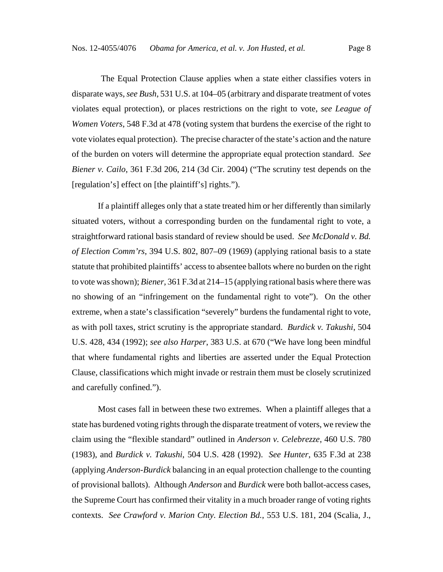The Equal Protection Clause applies when a state either classifies voters in disparate ways, *see Bush*, 531 U.S. at 104–05 (arbitrary and disparate treatment of votes violates equal protection), or places restrictions on the right to vote, *see League of Women Voters*, 548 F.3d at 478 (voting system that burdens the exercise of the right to vote violates equal protection). The precise character of the state's action and the nature of the burden on voters will determine the appropriate equal protection standard. *See Biener v. Cailo*, 361 F.3d 206, 214 (3d Cir. 2004) ("The scrutiny test depends on the [regulation's] effect on [the plaintiff's] rights.").

If a plaintiff alleges only that a state treated him or her differently than similarly situated voters, without a corresponding burden on the fundamental right to vote, a straightforward rational basis standard of review should be used. *See McDonald v. Bd. of Election Comm'rs*, 394 U.S. 802, 807–09 (1969) (applying rational basis to a state statute that prohibited plaintiffs' access to absentee ballots where no burden on the right to vote was shown); *Biener*, 361 F.3d at 214–15 (applying rational basis where there was no showing of an "infringement on the fundamental right to vote"). On the other extreme, when a state's classification "severely" burdens the fundamental right to vote, as with poll taxes, strict scrutiny is the appropriate standard. *Burdick v. Takushi*, 504 U.S. 428, 434 (1992); *see also Harper*, 383 U.S. at 670 ("We have long been mindful that where fundamental rights and liberties are asserted under the Equal Protection Clause, classifications which might invade or restrain them must be closely scrutinized and carefully confined.").

Most cases fall in between these two extremes. When a plaintiff alleges that a state has burdened voting rights through the disparate treatment of voters, we review the claim using the "flexible standard" outlined in *Anderson v. Celebrezze*, 460 U.S. 780 (1983), and *Burdick v. Takushi*, 504 U.S. 428 (1992). *See Hunter*, 635 F.3d at 238 (applying *Anderson-Burdick* balancing in an equal protection challenge to the counting of provisional ballots). Although *Anderson* and *Burdick* were both ballot-access cases, the Supreme Court has confirmed their vitality in a much broader range of voting rights contexts. *See Crawford v. Marion Cnty. Election Bd.*, 553 U.S. 181, 204 (Scalia, J.,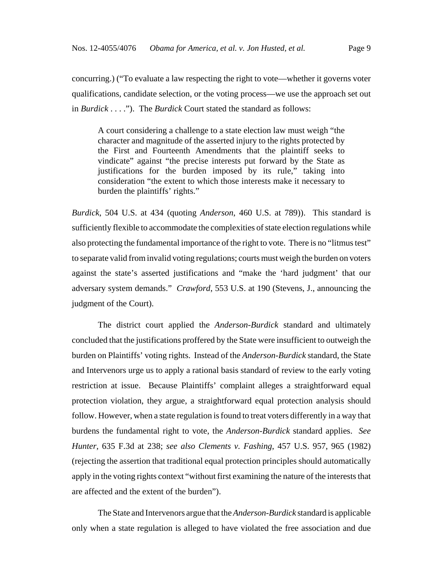concurring.) ("To evaluate a law respecting the right to vote—whether it governs voter qualifications, candidate selection, or the voting process—we use the approach set out in *Burdick* . . . ."). The *Burdick* Court stated the standard as follows:

A court considering a challenge to a state election law must weigh "the character and magnitude of the asserted injury to the rights protected by the First and Fourteenth Amendments that the plaintiff seeks to vindicate" against "the precise interests put forward by the State as justifications for the burden imposed by its rule," taking into consideration "the extent to which those interests make it necessary to burden the plaintiffs' rights."

*Burdick*, 504 U.S. at 434 (quoting *Anderson*, 460 U.S. at 789)). This standard is sufficiently flexible to accommodate the complexities of state election regulations while also protecting the fundamental importance of the right to vote. There is no "litmus test" to separate valid from invalid voting regulations; courts must weigh the burden on voters against the state's asserted justifications and "make the 'hard judgment' that our adversary system demands." *Crawford*, 553 U.S. at 190 (Stevens, J., announcing the judgment of the Court).

The district court applied the *Anderson-Burdick* standard and ultimately concluded that the justifications proffered by the State were insufficient to outweigh the burden on Plaintiffs' voting rights. Instead of the *Anderson-Burdick* standard, the State and Intervenors urge us to apply a rational basis standard of review to the early voting restriction at issue. Because Plaintiffs' complaint alleges a straightforward equal protection violation, they argue, a straightforward equal protection analysis should follow. However, when a state regulation is found to treat voters differently in a way that burdens the fundamental right to vote, the *Anderson-Burdick* standard applies. *See Hunter*, 635 F.3d at 238; *see also Clements v. Fashing*, 457 U.S. 957, 965 (1982) (rejecting the assertion that traditional equal protection principles should automatically apply in the voting rights context "without first examining the nature of the interests that are affected and the extent of the burden").

The State and Intervenors argue that the *Anderson-Burdick* standard is applicable only when a state regulation is alleged to have violated the free association and due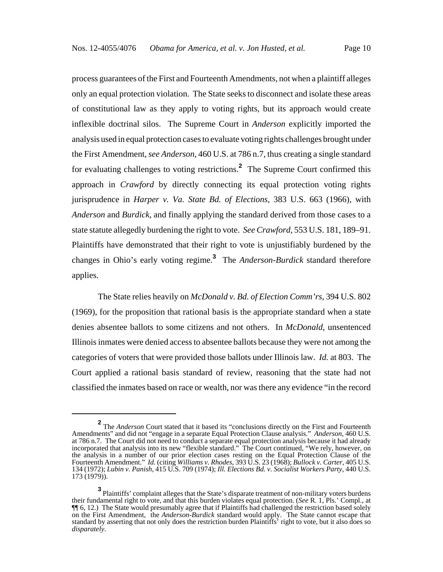process guarantees of the First and Fourteenth Amendments, not when a plaintiff alleges only an equal protection violation. The State seeks to disconnect and isolate these areas of constitutional law as they apply to voting rights, but its approach would create inflexible doctrinal silos. The Supreme Court in *Anderson* explicitly imported the analysis used in equal protection cases to evaluate voting rights challenges brought under the First Amendment, *see Anderson*, 460 U.S. at 786 n.7, thus creating a single standard for evaluating challenges to voting restrictions.**<sup>2</sup>** The Supreme Court confirmed this approach in *Crawford* by directly connecting its equal protection voting rights jurisprudence in *Harper v. Va. State Bd. of Elections*, 383 U.S. 663 (1966), with *Anderson* and *Burdick*, and finally applying the standard derived from those cases to a state statute allegedly burdening the right to vote. *See Crawford*, 553 U.S. 181, 189–91. Plaintiffs have demonstrated that their right to vote is unjustifiably burdened by the changes in Ohio's early voting regime.**<sup>3</sup>** The *Anderson-Burdick* standard therefore applies.

The State relies heavily on *McDonald v. Bd. of Election Comm'rs*, 394 U.S. 802 (1969), for the proposition that rational basis is the appropriate standard when a state denies absentee ballots to some citizens and not others. In *McDonald*, unsentenced Illinois inmates were denied access to absentee ballots because they were not among the categories of voters that were provided those ballots under Illinois law. *Id.* at 803. The Court applied a rational basis standard of review, reasoning that the state had not classified the inmates based on race or wealth, nor was there any evidence "in the record

**<sup>2</sup>** The *Anderson* Court stated that it based its "conclusions directly on the First and Fourteenth Amendments" and did not "engage in a separate Equal Protection Clause analysis." *Anderson*, 460 U.S. at 786 n.7. The Court did not need to conduct a separate equal protection analysis because it had already incorporated that analysis into its new "flexible standard." The Court continued, "We rely, however, on the analysis in a number of our prior election cases resting on the Equal Protection Clause of the Fourteenth Amendment." *Id.* (citing *Williams v. Rhodes*, 393 U.S. 23 (1968); *Bullock v. Carter*, 405 U.S. 134 (1972); *Lubin v. Panish*, 415 U.S. 709 (1974); *Ill. Elections Bd. v. Socialist Workers Party*, 440 U.S. 173 (1979)).

**<sup>3</sup>** Plaintiffs' complaint alleges that the State's disparate treatment of non-military voters burdens their fundamental right to vote, and that this burden violates equal protection. (*See* R. 1, Pls.' Compl., at ¶¶ 6, 12.) The State would presumably agree that if Plaintiffs had challenged the restriction based solely on the First Amendment, the *Anderson-Burdick* standard would apply. The State cannot escape that standard by asserting that not only does the restriction burden Plaintiffs' right to vote, but it also does so *disparately*.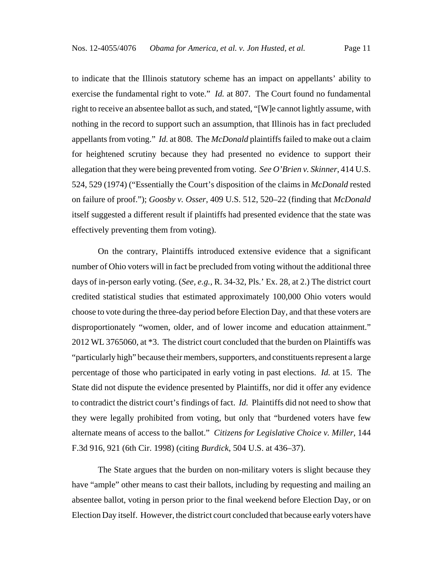to indicate that the Illinois statutory scheme has an impact on appellants' ability to exercise the fundamental right to vote." *Id.* at 807. The Court found no fundamental right to receive an absentee ballot as such, and stated, "[W]e cannot lightly assume, with nothing in the record to support such an assumption, that Illinois has in fact precluded appellants from voting." *Id.* at 808. The *McDonald* plaintiffs failed to make out a claim for heightened scrutiny because they had presented no evidence to support their allegation that they were being prevented from voting. *See O'Brien v. Skinner*, 414 U.S. 524, 529 (1974) ("Essentially the Court's disposition of the claims in *McDonald* rested on failure of proof."); *Goosby v. Osser*, 409 U.S. 512, 520–22 (finding that *McDonald* itself suggested a different result if plaintiffs had presented evidence that the state was effectively preventing them from voting).

On the contrary, Plaintiffs introduced extensive evidence that a significant number of Ohio voters will in fact be precluded from voting without the additional three days of in-person early voting. (*See, e.g.*, R. 34-32, Pls.' Ex. 28, at 2.) The district court credited statistical studies that estimated approximately 100,000 Ohio voters would choose to vote during the three-day period before Election Day, and that these voters are disproportionately "women, older, and of lower income and education attainment." 2012 WL 3765060, at \*3. The district court concluded that the burden on Plaintiffs was "particularly high" because their members, supporters, and constituents represent a large percentage of those who participated in early voting in past elections. *Id.* at 15. The State did not dispute the evidence presented by Plaintiffs, nor did it offer any evidence to contradict the district court's findings of fact. *Id.* Plaintiffs did not need to show that they were legally prohibited from voting, but only that "burdened voters have few alternate means of access to the ballot." *Citizens for Legislative Choice v. Miller*, 144 F.3d 916, 921 (6th Cir. 1998) (citing *Burdick*, 504 U.S. at 436–37).

The State argues that the burden on non-military voters is slight because they have "ample" other means to cast their ballots, including by requesting and mailing an absentee ballot, voting in person prior to the final weekend before Election Day, or on Election Day itself. However, the district court concluded that because early voters have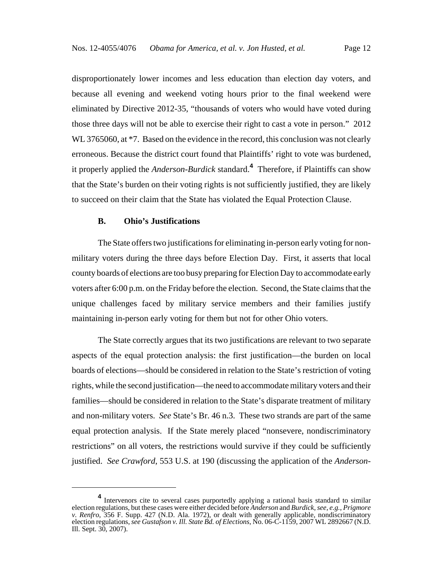disproportionately lower incomes and less education than election day voters, and because all evening and weekend voting hours prior to the final weekend were eliminated by Directive 2012-35, "thousands of voters who would have voted during those three days will not be able to exercise their right to cast a vote in person." 2012 WL 3765060, at  $*7$ . Based on the evidence in the record, this conclusion was not clearly erroneous. Because the district court found that Plaintiffs' right to vote was burdened, it properly applied the *Anderson-Burdick* standard.**<sup>4</sup>** Therefore, if Plaintiffs can show that the State's burden on their voting rights is not sufficiently justified, they are likely to succeed on their claim that the State has violated the Equal Protection Clause.

## **B. Ohio's Justifications**

The State offers two justifications for eliminating in-person early voting for nonmilitary voters during the three days before Election Day. First, it asserts that local county boards of elections are too busy preparing for Election Day to accommodate early voters after 6:00 p.m. on the Friday before the election. Second, the State claims that the unique challenges faced by military service members and their families justify maintaining in-person early voting for them but not for other Ohio voters.

The State correctly argues that its two justifications are relevant to two separate aspects of the equal protection analysis: the first justification—the burden on local boards of elections—should be considered in relation to the State's restriction of voting rights, while the second justification—the need to accommodate military voters and their families—should be considered in relation to the State's disparate treatment of military and non-military voters. *See* State's Br. 46 n.3. These two strands are part of the same equal protection analysis. If the State merely placed "nonsevere, nondiscriminatory restrictions" on all voters, the restrictions would survive if they could be sufficiently justified. *See Crawford*, 553 U.S. at 190 (discussing the application of the *Anderson-*

**<sup>4</sup>** Intervenors cite to several cases purportedly applying a rational basis standard to similar election regulations, but these cases were either decided before *Anderson* and *Burdick*, *see, e.g.*, *Prigmore v. Renfro*, 356 F. Supp. 427 (N.D. Ala. 1972), or dealt with generally applicable, nondiscriminatory election regulations, *see Gustafson v. Ill. State Bd. of Elections*, No. 06-C-1159, 2007 WL 2892667 (N.D. Ill. Sept. 30, 2007).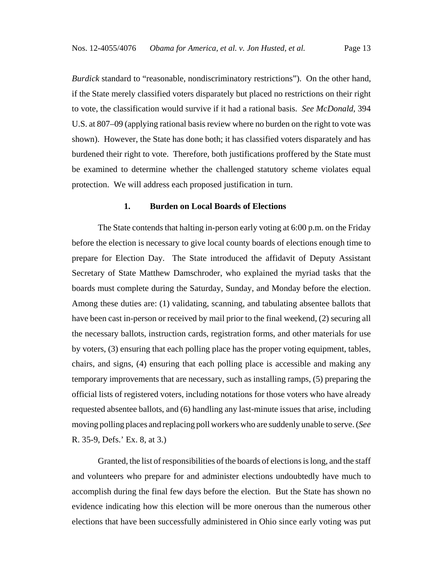*Burdick* standard to "reasonable, nondiscriminatory restrictions"). On the other hand, if the State merely classified voters disparately but placed no restrictions on their right to vote, the classification would survive if it had a rational basis. *See McDonald*, 394 U.S. at 807–09 (applying rational basis review where no burden on the right to vote was shown). However, the State has done both; it has classified voters disparately and has burdened their right to vote. Therefore, both justifications proffered by the State must be examined to determine whether the challenged statutory scheme violates equal protection. We will address each proposed justification in turn.

### **1. Burden on Local Boards of Elections**

The State contends that halting in-person early voting at 6:00 p.m. on the Friday before the election is necessary to give local county boards of elections enough time to prepare for Election Day. The State introduced the affidavit of Deputy Assistant Secretary of State Matthew Damschroder, who explained the myriad tasks that the boards must complete during the Saturday, Sunday, and Monday before the election. Among these duties are: (1) validating, scanning, and tabulating absentee ballots that have been cast in-person or received by mail prior to the final weekend, (2) securing all the necessary ballots, instruction cards, registration forms, and other materials for use by voters, (3) ensuring that each polling place has the proper voting equipment, tables, chairs, and signs, (4) ensuring that each polling place is accessible and making any temporary improvements that are necessary, such as installing ramps, (5) preparing the official lists of registered voters, including notations for those voters who have already requested absentee ballots, and (6) handling any last-minute issues that arise, including moving polling places and replacing poll workers who are suddenly unable to serve. (*See* R. 35-9, Defs.' Ex. 8, at 3.)

Granted, the list of responsibilities of the boards of elections is long, and the staff and volunteers who prepare for and administer elections undoubtedly have much to accomplish during the final few days before the election. But the State has shown no evidence indicating how this election will be more onerous than the numerous other elections that have been successfully administered in Ohio since early voting was put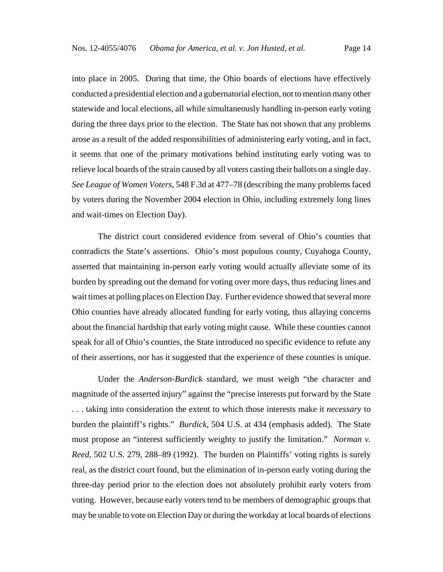into place in 2005. During that time, the Ohio boards of elections have effectively conducted a presidential election and a gubernatorial election, not to mention many other statewide and local elections, all while simultaneously handling in-person early voting during the three days prior to the election. The State has not shown that any problems arose as a result of the added responsibilities of administering early voting, and in fact, it seems that one of the primary motivations behind instituting early voting was to relieve local boards of the strain caused by all voters casting their ballots on a single day. *See League of Women Voters*, 548 F.3d at 477–78 (describing the many problems faced by voters during the November 2004 election in Ohio, including extremely long lines and wait-times on Election Day).

The district court considered evidence from several of Ohio's counties that contradicts the State's assertions. Ohio's most populous county, Cuyahoga County, asserted that maintaining in-person early voting would actually alleviate some of its burden by spreading out the demand for voting over more days, thus reducing lines and wait times at polling places on Election Day. Further evidence showed that several more Ohio counties have already allocated funding for early voting, thus allaying concerns about the financial hardship that early voting might cause. While these counties cannot speak for all of Ohio's counties, the State introduced no specific evidence to refute any of their assertions, nor has it suggested that the experience of these counties is unique.

Under the *Anderson-Burdick* standard, we must weigh "the character and magnitude of the asserted injury" against the "precise interests put forward by the State . . . taking into consideration the extent to which those interests make it *necessary* to burden the plaintiff's rights." *Burdick*, 504 U.S. at 434 (emphasis added). The State must propose an "interest sufficiently weighty to justify the limitation." *Norman v. Reed*, 502 U.S. 279, 288–89 (1992). The burden on Plaintiffs' voting rights is surely real, as the district court found, but the elimination of in-person early voting during the three-day period prior to the election does not absolutely prohibit early voters from voting. However, because early voters tend to be members of demographic groups that may be unable to vote on Election Day or during the workday at local boards of elections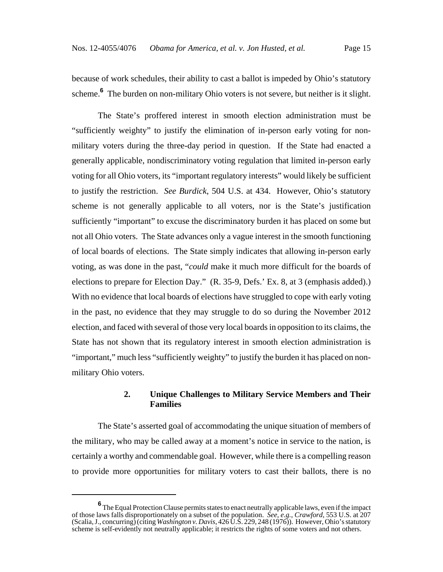because of work schedules, their ability to cast a ballot is impeded by Ohio's statutory scheme.<sup>6</sup> The burden on non-military Ohio voters is not severe, but neither is it slight.

The State's proffered interest in smooth election administration must be "sufficiently weighty" to justify the elimination of in-person early voting for nonmilitary voters during the three-day period in question. If the State had enacted a generally applicable, nondiscriminatory voting regulation that limited in-person early voting for all Ohio voters, its "important regulatory interests" would likely be sufficient to justify the restriction. *See Burdick*, 504 U.S. at 434. However, Ohio's statutory scheme is not generally applicable to all voters, nor is the State's justification sufficiently "important" to excuse the discriminatory burden it has placed on some but not all Ohio voters. The State advances only a vague interest in the smooth functioning of local boards of elections. The State simply indicates that allowing in-person early voting, as was done in the past, "*could* make it much more difficult for the boards of elections to prepare for Election Day." (R. 35-9, Defs.' Ex. 8, at 3 (emphasis added).) With no evidence that local boards of elections have struggled to cope with early voting in the past, no evidence that they may struggle to do so during the November 2012 election, and faced with several of those very local boards in opposition to its claims, the State has not shown that its regulatory interest in smooth election administration is "important," much less "sufficiently weighty" to justify the burden it has placed on nonmilitary Ohio voters.

# **2. Unique Challenges to Military Service Members and Their Families**

The State's asserted goal of accommodating the unique situation of members of the military, who may be called away at a moment's notice in service to the nation, is certainly a worthy and commendable goal. However, while there is a compelling reason to provide more opportunities for military voters to cast their ballots, there is no

**<sup>6</sup>** The Equal Protection Clause permits states to enact neutrally applicable laws, even if the impact of those laws falls disproportionately on a subset of the population. *See, e.g.*, *Crawford*, 553 U.S. at 207 (Scalia, J., concurring) (citing *Washington v. Davis*, 426 U.S. 229, 248 (1976)). However, Ohio's statutory scheme is self-evidently not neutrally applicable; it restricts the rights of some voters and not others.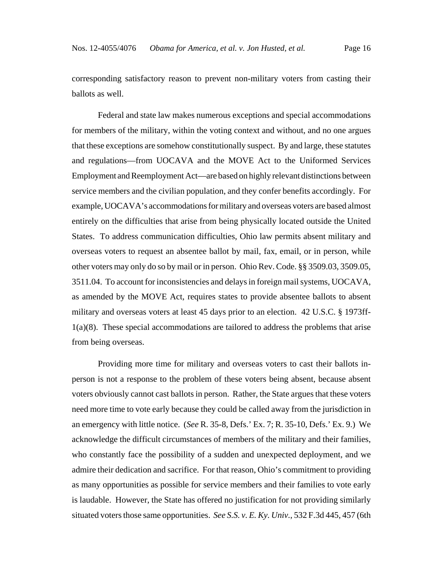corresponding satisfactory reason to prevent non-military voters from casting their ballots as well.

Federal and state law makes numerous exceptions and special accommodations for members of the military, within the voting context and without, and no one argues that these exceptions are somehow constitutionally suspect. By and large, these statutes and regulations—from UOCAVA and the MOVE Act to the Uniformed Services Employment and Reemployment Act—are based on highly relevant distinctions between service members and the civilian population, and they confer benefits accordingly. For example, UOCAVA's accommodations for military and overseas voters are based almost entirely on the difficulties that arise from being physically located outside the United States. To address communication difficulties, Ohio law permits absent military and overseas voters to request an absentee ballot by mail, fax, email, or in person, while other voters may only do so by mail or in person. Ohio Rev. Code. §§ 3509.03, 3509.05, 3511.04. To account for inconsistencies and delays in foreign mail systems, UOCAVA, as amended by the MOVE Act, requires states to provide absentee ballots to absent military and overseas voters at least 45 days prior to an election. 42 U.S.C. § 1973ff-1(a)(8). These special accommodations are tailored to address the problems that arise from being overseas.

Providing more time for military and overseas voters to cast their ballots inperson is not a response to the problem of these voters being absent, because absent voters obviously cannot cast ballots in person. Rather, the State argues that these voters need more time to vote early because they could be called away from the jurisdiction in an emergency with little notice. (*See* R. 35-8, Defs.' Ex. 7; R. 35-10, Defs.' Ex. 9.) We acknowledge the difficult circumstances of members of the military and their families, who constantly face the possibility of a sudden and unexpected deployment, and we admire their dedication and sacrifice. For that reason, Ohio's commitment to providing as many opportunities as possible for service members and their families to vote early is laudable. However, the State has offered no justification for not providing similarly situated voters those same opportunities. *See S.S. v. E. Ky. Univ.*, 532 F.3d 445, 457 (6th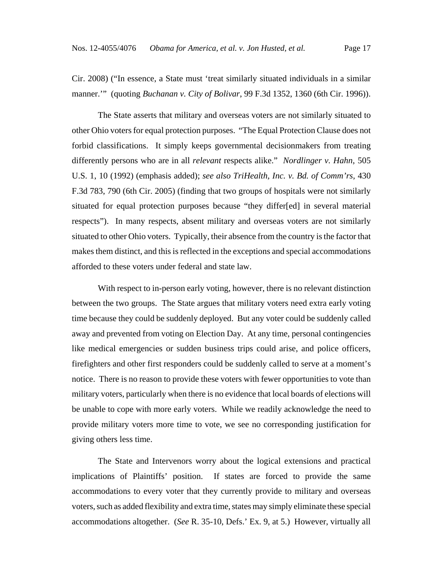Cir. 2008) ("In essence, a State must 'treat similarly situated individuals in a similar manner.'" (quoting *Buchanan v. City of Bolivar*, 99 F.3d 1352, 1360 (6th Cir. 1996)).

The State asserts that military and overseas voters are not similarly situated to other Ohio voters for equal protection purposes. "The Equal Protection Clause does not forbid classifications. It simply keeps governmental decisionmakers from treating differently persons who are in all *relevant* respects alike." *Nordlinger v. Hahn*, 505 U.S. 1, 10 (1992) (emphasis added); *see also TriHealth, Inc. v. Bd. of Comm'rs*, 430 F.3d 783, 790 (6th Cir. 2005) (finding that two groups of hospitals were not similarly situated for equal protection purposes because "they differ[ed] in several material respects"). In many respects, absent military and overseas voters are not similarly situated to other Ohio voters. Typically, their absence from the country is the factor that makes them distinct, and this is reflected in the exceptions and special accommodations afforded to these voters under federal and state law.

With respect to in-person early voting, however, there is no relevant distinction between the two groups. The State argues that military voters need extra early voting time because they could be suddenly deployed. But any voter could be suddenly called away and prevented from voting on Election Day. At any time, personal contingencies like medical emergencies or sudden business trips could arise, and police officers, firefighters and other first responders could be suddenly called to serve at a moment's notice. There is no reason to provide these voters with fewer opportunities to vote than military voters, particularly when there is no evidence that local boards of elections will be unable to cope with more early voters. While we readily acknowledge the need to provide military voters more time to vote, we see no corresponding justification for giving others less time.

The State and Intervenors worry about the logical extensions and practical implications of Plaintiffs' position. If states are forced to provide the same accommodations to every voter that they currently provide to military and overseas voters, such as added flexibility and extra time, states may simply eliminate these special accommodations altogether. (*See* R. 35-10, Defs.' Ex. 9, at 5.) However, virtually all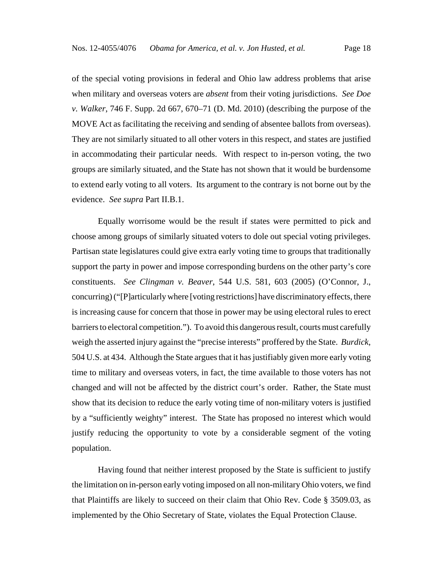of the special voting provisions in federal and Ohio law address problems that arise when military and overseas voters are *absent* from their voting jurisdictions. *See Doe v. Walker*, 746 F. Supp. 2d 667, 670–71 (D. Md. 2010) (describing the purpose of the MOVE Act as facilitating the receiving and sending of absentee ballots from overseas). They are not similarly situated to all other voters in this respect, and states are justified in accommodating their particular needs. With respect to in-person voting, the two groups are similarly situated, and the State has not shown that it would be burdensome to extend early voting to all voters. Its argument to the contrary is not borne out by the evidence. *See supra* Part II.B.1.

Equally worrisome would be the result if states were permitted to pick and choose among groups of similarly situated voters to dole out special voting privileges. Partisan state legislatures could give extra early voting time to groups that traditionally support the party in power and impose corresponding burdens on the other party's core constituents. *See Clingman v. Beaver*, 544 U.S. 581, 603 (2005) (O'Connor, J., concurring) ("[P]articularly where [voting restrictions] have discriminatory effects, there is increasing cause for concern that those in power may be using electoral rules to erect barriers to electoral competition."). To avoid this dangerous result, courts must carefully weigh the asserted injury against the "precise interests" proffered by the State. *Burdick*, 504 U.S. at 434. Although the State argues that it has justifiably given more early voting time to military and overseas voters, in fact, the time available to those voters has not changed and will not be affected by the district court's order. Rather, the State must show that its decision to reduce the early voting time of non-military voters is justified by a "sufficiently weighty" interest. The State has proposed no interest which would justify reducing the opportunity to vote by a considerable segment of the voting population.

Having found that neither interest proposed by the State is sufficient to justify the limitation on in-person early voting imposed on all non-military Ohio voters, we find that Plaintiffs are likely to succeed on their claim that Ohio Rev. Code § 3509.03, as implemented by the Ohio Secretary of State, violates the Equal Protection Clause.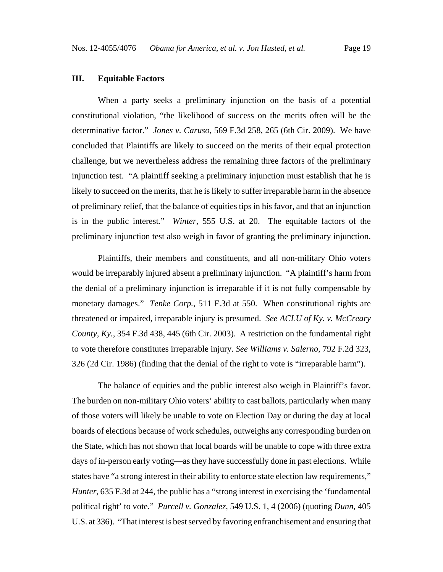# **III. Equitable Factors**

When a party seeks a preliminary injunction on the basis of a potential constitutional violation, "the likelihood of success on the merits often will be the determinative factor." *Jones v. Caruso*, 569 F.3d 258, 265 (6th Cir. 2009). We have concluded that Plaintiffs are likely to succeed on the merits of their equal protection challenge, but we nevertheless address the remaining three factors of the preliminary injunction test. "A plaintiff seeking a preliminary injunction must establish that he is likely to succeed on the merits, that he is likely to suffer irreparable harm in the absence of preliminary relief, that the balance of equities tips in his favor, and that an injunction is in the public interest." *Winter*, 555 U.S. at 20. The equitable factors of the preliminary injunction test also weigh in favor of granting the preliminary injunction.

Plaintiffs, their members and constituents, and all non-military Ohio voters would be irreparably injured absent a preliminary injunction. "A plaintiff's harm from the denial of a preliminary injunction is irreparable if it is not fully compensable by monetary damages." *Tenke Corp.*, 511 F.3d at 550. When constitutional rights are threatened or impaired, irreparable injury is presumed. *See ACLU of Ky. v. McCreary County, Ky.*, 354 F.3d 438, 445 (6th Cir. 2003). A restriction on the fundamental right to vote therefore constitutes irreparable injury. *See Williams v. Salerno*, 792 F.2d 323, 326 (2d Cir. 1986) (finding that the denial of the right to vote is "irreparable harm").

The balance of equities and the public interest also weigh in Plaintiff's favor. The burden on non-military Ohio voters' ability to cast ballots, particularly when many of those voters will likely be unable to vote on Election Day or during the day at local boards of elections because of work schedules, outweighs any corresponding burden on the State, which has not shown that local boards will be unable to cope with three extra days of in-person early voting—as they have successfully done in past elections. While states have "a strong interest in their ability to enforce state election law requirements," *Hunter*, 635 F.3d at 244, the public has a "strong interest in exercising the 'fundamental political right' to vote." *Purcell v. Gonzalez*, 549 U.S. 1, 4 (2006) (quoting *Dunn*, 405 U.S. at 336). "That interest is best served by favoring enfranchisement and ensuring that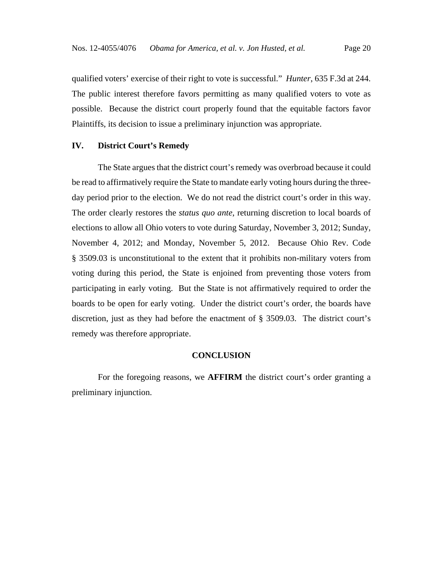qualified voters' exercise of their right to vote is successful." *Hunter*, 635 F.3d at 244. The public interest therefore favors permitting as many qualified voters to vote as possible. Because the district court properly found that the equitable factors favor Plaintiffs, its decision to issue a preliminary injunction was appropriate.

## **IV. District Court's Remedy**

The State argues that the district court's remedy was overbroad because it could be read to affirmatively require the State to mandate early voting hours during the threeday period prior to the election. We do not read the district court's order in this way. The order clearly restores the *status quo ante*, returning discretion to local boards of elections to allow all Ohio voters to vote during Saturday, November 3, 2012; Sunday, November 4, 2012; and Monday, November 5, 2012. Because Ohio Rev. Code § 3509.03 is unconstitutional to the extent that it prohibits non-military voters from voting during this period, the State is enjoined from preventing those voters from participating in early voting. But the State is not affirmatively required to order the boards to be open for early voting. Under the district court's order, the boards have discretion, just as they had before the enactment of § 3509.03. The district court's remedy was therefore appropriate.

# **CONCLUSION**

For the foregoing reasons, we **AFFIRM** the district court's order granting a preliminary injunction.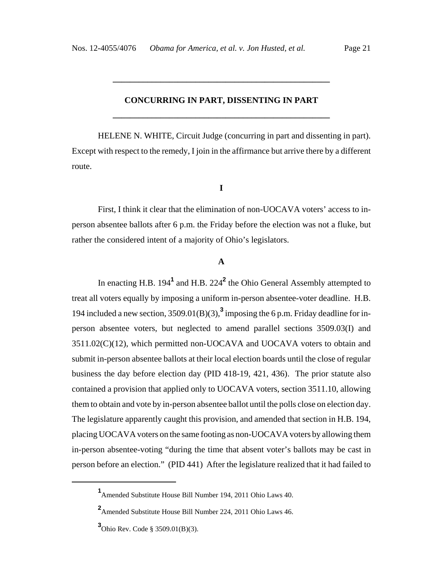# **CONCURRING IN PART, DISSENTING IN PART \_\_\_\_\_\_\_\_\_\_\_\_\_\_\_\_\_\_\_\_\_\_\_\_\_\_\_\_\_\_\_\_\_\_\_\_\_\_\_\_\_\_\_\_\_\_\_\_\_\_**

**\_\_\_\_\_\_\_\_\_\_\_\_\_\_\_\_\_\_\_\_\_\_\_\_\_\_\_\_\_\_\_\_\_\_\_\_\_\_\_\_\_\_\_\_\_\_\_\_\_\_**

HELENE N. WHITE, Circuit Judge (concurring in part and dissenting in part). Except with respect to the remedy, I join in the affirmance but arrive there by a different route.

### **I**

First, I think it clear that the elimination of non-UOCAVA voters' access to inperson absentee ballots after 6 p.m. the Friday before the election was not a fluke, but rather the considered intent of a majority of Ohio's legislators.

# **A**

In enacting H.B. 194<sup>1</sup> and H.B. 224<sup>2</sup> the Ohio General Assembly attempted to treat all voters equally by imposing a uniform in-person absentee-voter deadline. H.B. 194 included a new section,  $3509.01(B)(3)$ ,<sup>3</sup> imposing the 6 p.m. Friday deadline for inperson absentee voters, but neglected to amend parallel sections 3509.03(I) and 3511.02(C)(12), which permitted non-UOCAVA and UOCAVA voters to obtain and submit in-person absentee ballots at their local election boards until the close of regular business the day before election day (PID 418-19, 421, 436). The prior statute also contained a provision that applied only to UOCAVA voters, section 3511.10, allowing them to obtain and vote by in-person absentee ballot until the polls close on election day. The legislature apparently caught this provision, and amended that section in H.B. 194, placing UOCAVA voters on the same footing as non-UOCAVA voters by allowing them in-person absentee-voting "during the time that absent voter's ballots may be cast in person before an election." (PID 441) After the legislature realized that it had failed to

**<sup>1</sup>** Amended Substitute House Bill Number 194, 2011 Ohio Laws 40.

**<sup>2</sup>** Amended Substitute House Bill Number 224, 2011 Ohio Laws 46.

**<sup>3</sup>** Ohio Rev. Code § 3509.01(B)(3).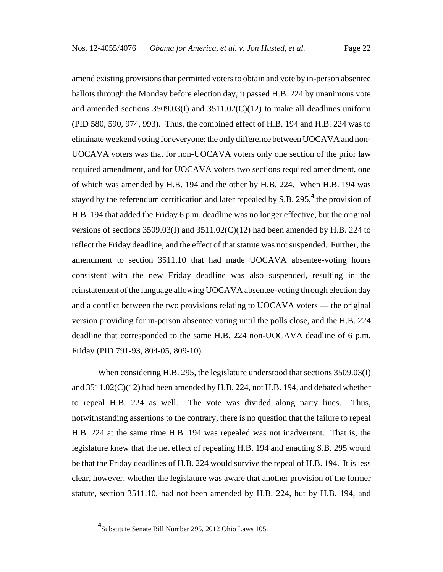amend existing provisions that permitted voters to obtain and vote by in-person absentee ballots through the Monday before election day, it passed H.B. 224 by unanimous vote and amended sections  $3509.03(I)$  and  $3511.02(C)(12)$  to make all deadlines uniform (PID 580, 590, 974, 993). Thus, the combined effect of H.B. 194 and H.B. 224 was to eliminate weekend voting for everyone; the only difference between UOCAVA and non-UOCAVA voters was that for non-UOCAVA voters only one section of the prior law required amendment, and for UOCAVA voters two sections required amendment, one of which was amended by H.B. 194 and the other by H.B. 224. When H.B. 194 was stayed by the referendum certification and later repealed by S.B. 295,<sup>4</sup> the provision of H.B. 194 that added the Friday 6 p.m. deadline was no longer effective, but the original versions of sections 3509.03(I) and 3511.02(C)(12) had been amended by H.B. 224 to reflect the Friday deadline, and the effect of that statute was not suspended. Further, the amendment to section 3511.10 that had made UOCAVA absentee-voting hours consistent with the new Friday deadline was also suspended, resulting in the reinstatement of the language allowing UOCAVA absentee-voting through election day and a conflict between the two provisions relating to UOCAVA voters — the original version providing for in-person absentee voting until the polls close, and the H.B. 224 deadline that corresponded to the same H.B. 224 non-UOCAVA deadline of 6 p.m. Friday (PID 791-93, 804-05, 809-10).

When considering H.B. 295, the legislature understood that sections 3509.03(I) and 3511.02(C)(12) had been amended by H.B. 224, not H.B. 194, and debated whether to repeal H.B. 224 as well. The vote was divided along party lines. Thus, notwithstanding assertions to the contrary, there is no question that the failure to repeal H.B. 224 at the same time H.B. 194 was repealed was not inadvertent. That is, the legislature knew that the net effect of repealing H.B. 194 and enacting S.B. 295 would be that the Friday deadlines of H.B. 224 would survive the repeal of H.B. 194. It is less clear, however, whether the legislature was aware that another provision of the former statute, section 3511.10, had not been amended by H.B. 224, but by H.B. 194, and

**<sup>4</sup>** Substitute Senate Bill Number 295, 2012 Ohio Laws 105.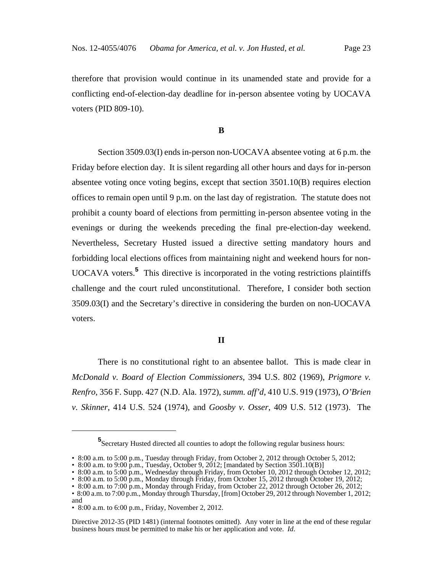therefore that provision would continue in its unamended state and provide for a conflicting end-of-election-day deadline for in-person absentee voting by UOCAVA voters (PID 809-10).

### **B**

Section 3509.03(I) ends in-person non-UOCAVA absentee voting at 6 p.m. the Friday before election day. It is silent regarding all other hours and days for in-person absentee voting once voting begins, except that section 3501.10(B) requires election offices to remain open until 9 p.m. on the last day of registration. The statute does not prohibit a county board of elections from permitting in-person absentee voting in the evenings or during the weekends preceding the final pre-election-day weekend. Nevertheless, Secretary Husted issued a directive setting mandatory hours and forbidding local elections offices from maintaining night and weekend hours for non-UOCAVA voters.**<sup>5</sup>** This directive is incorporated in the voting restrictions plaintiffs challenge and the court ruled unconstitutional. Therefore, I consider both section 3509.03(I) and the Secretary's directive in considering the burden on non-UOCAVA voters.

### **II**

There is no constitutional right to an absentee ballot. This is made clear in *McDonald v. Board of Election Commissioners*, 394 U.S. 802 (1969), *Prigmore v. Renfro*, 356 F. Supp. 427 (N.D. Ala. 1972), *summ. aff'd*, 410 U.S. 919 (1973), *O'Brien v. Skinner*, 414 U.S. 524 (1974), and *Goosby v. Osser*, 409 U.S. 512 (1973). The

**<sup>5</sup>** Secretary Husted directed all counties to adopt the following regular business hours:

<sup>• 8:00</sup> a.m. to 5:00 p.m., Tuesday through Friday, from October 2, 2012 through October 5, 2012;

<sup>• 8:00</sup> a.m. to 9:00 p.m., Tuesday, October 9, 2012; [mandated by Section 3501.10(B)]

<sup>• 8:00</sup> a.m. to 5:00 p.m., Wednesday through Friday, from October 10, 2012 through October 12, 2012;

<sup>• 8:00</sup> a.m. to 5:00 p.m., Monday through Friday, from October 15, 2012 through October 19, 2012;

<sup>• 8:00</sup> a.m. to 7:00 p.m., Monday through Friday, from October 22, 2012 through October 26, 2012;

<sup>• 8:00</sup> a.m. to 7:00 p.m., Monday through Thursday, [from] October 29, 2012 through November 1, 2012; and

<sup>• 8:00</sup> a.m. to 6:00 p.m., Friday, November 2, 2012.

Directive 2012-35 (PID 1481) (internal footnotes omitted). Any voter in line at the end of these regular business hours must be permitted to make his or her application and vote. *Id*.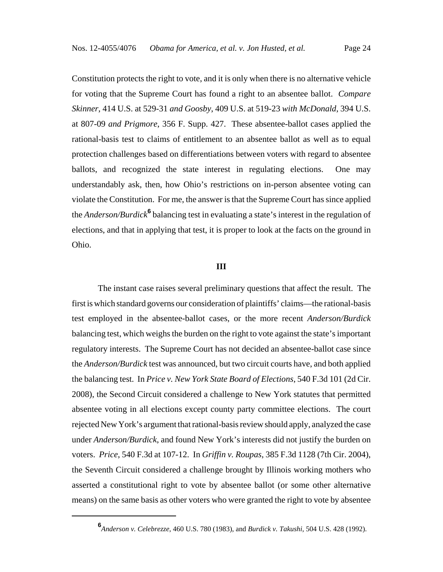Constitution protects the right to vote, and it is only when there is no alternative vehicle for voting that the Supreme Court has found a right to an absentee ballot. *Compare Skinner*, 414 U.S. at 529-31 *and Goosby*, 409 U.S. at 519-23 *with McDonald*, 394 U.S. at 807-09 *and Prigmore*, 356 F. Supp. 427. These absentee-ballot cases applied the rational-basis test to claims of entitlement to an absentee ballot as well as to equal protection challenges based on differentiations between voters with regard to absentee ballots, and recognized the state interest in regulating elections. One may understandably ask, then, how Ohio's restrictions on in-person absentee voting can violate the Constitution. For me, the answer is that the Supreme Court has since applied the *Anderson/Burdick*<sup>6</sup> balancing test in evaluating a state's interest in the regulation of elections, and that in applying that test, it is proper to look at the facts on the ground in Ohio.

### **III**

The instant case raises several preliminary questions that affect the result. The first is which standard governs our consideration of plaintiffs' claims—the rational-basis test employed in the absentee-ballot cases, or the more recent *Anderson/Burdick* balancing test, which weighs the burden on the right to vote against the state's important regulatory interests. The Supreme Court has not decided an absentee-ballot case since the *Anderson/Burdick* test was announced, but two circuit courts have, and both applied the balancing test. In *Price v. New York State Board of Elections*, 540 F.3d 101 (2d Cir. 2008), the Second Circuit considered a challenge to New York statutes that permitted absentee voting in all elections except county party committee elections. The court rejected New York's argument that rational-basis review should apply, analyzed the case under *Anderson/Burdick*, and found New York's interests did not justify the burden on voters. *Price*, 540 F.3d at 107-12. In *Griffin v. Roupas*, 385 F.3d 1128 (7th Cir. 2004), the Seventh Circuit considered a challenge brought by Illinois working mothers who asserted a constitutional right to vote by absentee ballot (or some other alternative means) on the same basis as other voters who were granted the right to vote by absentee

**<sup>6</sup>** *Anderson v. Celebrezze*, 460 U.S. 780 (1983), and *Burdick v. Takushi*, 504 U.S. 428 (1992).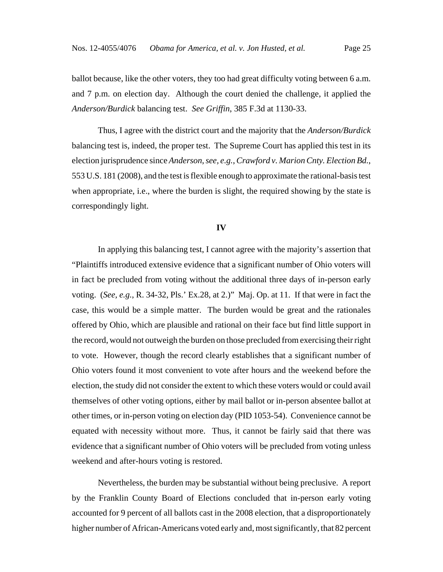ballot because, like the other voters, they too had great difficulty voting between 6 a.m. and 7 p.m. on election day. Although the court denied the challenge, it applied the *Anderson/Burdick* balancing test. *See Griffin*, 385 F.3d at 1130-33.

Thus, I agree with the district court and the majority that the *Anderson/Burdick* balancing test is, indeed, the proper test. The Supreme Court has applied this test in its election jurisprudence since *Anderson*, *see, e.g.*, *Crawford v. Marion Cnty. Election Bd.*, 553 U.S. 181 (2008), and the test is flexible enough to approximate the rational-basis test when appropriate, i.e., where the burden is slight, the required showing by the state is correspondingly light.

### **IV**

In applying this balancing test, I cannot agree with the majority's assertion that "Plaintiffs introduced extensive evidence that a significant number of Ohio voters will in fact be precluded from voting without the additional three days of in-person early voting. (*See, e.g.*, R. 34-32, Pls.' Ex.28, at 2.)" Maj. Op. at 11. If that were in fact the case, this would be a simple matter. The burden would be great and the rationales offered by Ohio, which are plausible and rational on their face but find little support in the record, would not outweigh the burden on those precluded from exercising their right to vote. However, though the record clearly establishes that a significant number of Ohio voters found it most convenient to vote after hours and the weekend before the election, the study did not consider the extent to which these voters would or could avail themselves of other voting options, either by mail ballot or in-person absentee ballot at other times, or in-person voting on election day (PID 1053-54). Convenience cannot be equated with necessity without more. Thus, it cannot be fairly said that there was evidence that a significant number of Ohio voters will be precluded from voting unless weekend and after-hours voting is restored.

Nevertheless, the burden may be substantial without being preclusive. A report by the Franklin County Board of Elections concluded that in-person early voting accounted for 9 percent of all ballots cast in the 2008 election, that a disproportionately higher number of African-Americans voted early and, most significantly, that 82 percent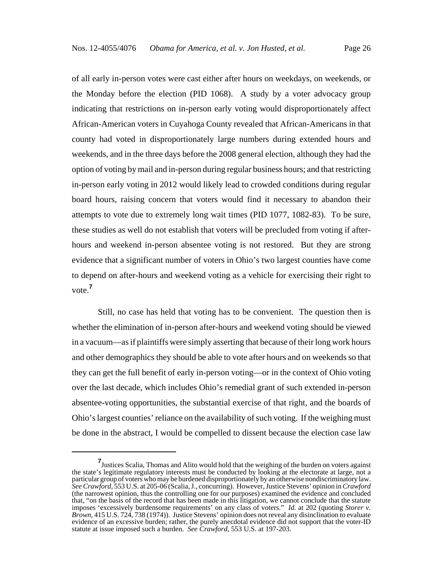of all early in-person votes were cast either after hours on weekdays, on weekends, or the Monday before the election (PID 1068). A study by a voter advocacy group indicating that restrictions on in-person early voting would disproportionately affect African-American voters in Cuyahoga County revealed that African-Americans in that county had voted in disproportionately large numbers during extended hours and weekends, and in the three days before the 2008 general election, although they had the option of voting by mail and in-person during regular business hours; and that restricting in-person early voting in 2012 would likely lead to crowded conditions during regular board hours, raising concern that voters would find it necessary to abandon their attempts to vote due to extremely long wait times (PID 1077, 1082-83). To be sure, these studies as well do not establish that voters will be precluded from voting if afterhours and weekend in-person absentee voting is not restored. But they are strong evidence that a significant number of voters in Ohio's two largest counties have come to depend on after-hours and weekend voting as a vehicle for exercising their right to vote.**<sup>7</sup>**

Still, no case has held that voting has to be convenient. The question then is whether the elimination of in-person after-hours and weekend voting should be viewed in a vacuum—as if plaintiffs were simply asserting that because of their long work hours and other demographics they should be able to vote after hours and on weekends so that they can get the full benefit of early in-person voting—or in the context of Ohio voting over the last decade, which includes Ohio's remedial grant of such extended in-person absentee-voting opportunities, the substantial exercise of that right, and the boards of Ohio's largest counties' reliance on the availability of such voting. If the weighing must be done in the abstract, I would be compelled to dissent because the election case law

**<sup>7</sup>** Justices Scalia, Thomas and Alito would hold that the weighing of the burden on voters against the state's legitimate regulatory interests must be conducted by looking at the electorate at large, not a particular group of voters who may be burdened disproportionately by an otherwise nondiscriminatory law. *See Crawford*, 553 U.S. at 205-06 (Scalia, J., concurring). However, Justice Stevens' opinion in *Crawford* (the narrowest opinion, thus the controlling one for our purposes) examined the evidence and concluded that, "on the basis of the record that has been made in this litigation, we cannot conclude that the statute imposes 'excessively burdensome requirements' on any class of voters." *Id.* at 202 (quoting *Storer v. Brown*, 415 U.S. 724, 738 (1974)). Justice Stevens' opinion does not reveal any disinclination to evaluate evidence of an excessive burden; rather, the purely anecdotal evidence did not support that the voter-ID statute at issue imposed such a burden. *See Crawford*, 553 U.S. at 197-203.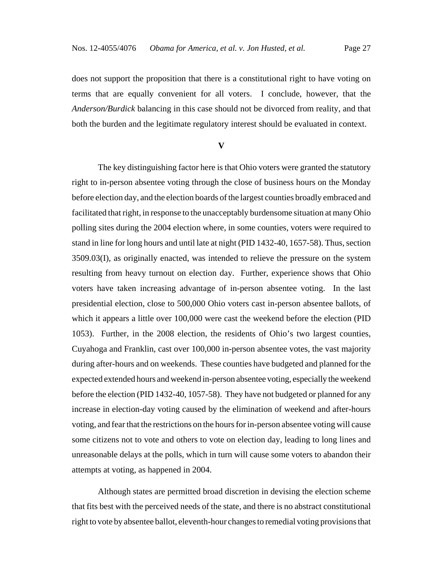does not support the proposition that there is a constitutional right to have voting on terms that are equally convenient for all voters. I conclude, however, that the *Anderson/Burdick* balancing in this case should not be divorced from reality, and that both the burden and the legitimate regulatory interest should be evaluated in context.

**V**

The key distinguishing factor here is that Ohio voters were granted the statutory right to in-person absentee voting through the close of business hours on the Monday before election day, and the election boards of the largest counties broadly embraced and facilitated that right, in response to the unacceptably burdensome situation at many Ohio polling sites during the 2004 election where, in some counties, voters were required to stand in line for long hours and until late at night (PID 1432-40, 1657-58). Thus, section 3509.03(I), as originally enacted, was intended to relieve the pressure on the system resulting from heavy turnout on election day. Further, experience shows that Ohio voters have taken increasing advantage of in-person absentee voting. In the last presidential election, close to 500,000 Ohio voters cast in-person absentee ballots, of which it appears a little over 100,000 were cast the weekend before the election (PID 1053). Further, in the 2008 election, the residents of Ohio's two largest counties, Cuyahoga and Franklin, cast over 100,000 in-person absentee votes, the vast majority during after-hours and on weekends. These counties have budgeted and planned for the expected extended hours and weekend in-person absentee voting, especially the weekend before the election (PID 1432-40, 1057-58). They have not budgeted or planned for any increase in election-day voting caused by the elimination of weekend and after-hours voting, and fear that the restrictions on the hours for in-person absentee voting will cause some citizens not to vote and others to vote on election day, leading to long lines and unreasonable delays at the polls, which in turn will cause some voters to abandon their attempts at voting, as happened in 2004.

Although states are permitted broad discretion in devising the election scheme that fits best with the perceived needs of the state, and there is no abstract constitutional right to vote by absentee ballot, eleventh-hour changes to remedial voting provisions that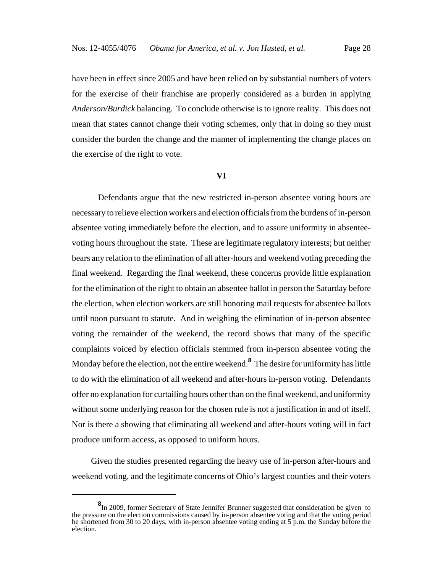have been in effect since 2005 and have been relied on by substantial numbers of voters for the exercise of their franchise are properly considered as a burden in applying *Anderson/Burdick* balancing. To conclude otherwise is to ignore reality. This does not mean that states cannot change their voting schemes, only that in doing so they must consider the burden the change and the manner of implementing the change places on the exercise of the right to vote.

### **VI**

Defendants argue that the new restricted in-person absentee voting hours are necessary to relieve election workers and election officials from the burdens of in-person absentee voting immediately before the election, and to assure uniformity in absenteevoting hours throughout the state. These are legitimate regulatory interests; but neither bears any relation to the elimination of all after-hours and weekend voting preceding the final weekend. Regarding the final weekend, these concerns provide little explanation for the elimination of the right to obtain an absentee ballot in person the Saturday before the election, when election workers are still honoring mail requests for absentee ballots until noon pursuant to statute. And in weighing the elimination of in-person absentee voting the remainder of the weekend, the record shows that many of the specific complaints voiced by election officials stemmed from in-person absentee voting the Monday before the election, not the entire weekend.**<sup>8</sup>** The desire for uniformity has little to do with the elimination of all weekend and after-hours in-person voting. Defendants offer no explanation for curtailing hours other than on the final weekend, and uniformity without some underlying reason for the chosen rule is not a justification in and of itself. Nor is there a showing that eliminating all weekend and after-hours voting will in fact produce uniform access, as opposed to uniform hours.

 Given the studies presented regarding the heavy use of in-person after-hours and weekend voting, and the legitimate concerns of Ohio's largest counties and their voters

**<sup>8</sup>** In 2009, former Secretary of State Jennifer Brunner suggested that consideration be given to the pressure on the election commissions caused by in-person absentee voting and that the voting period be shortened from 30 to 20 days, with in-person absentee voting ending at 5 p.m. the Sunday before the election.